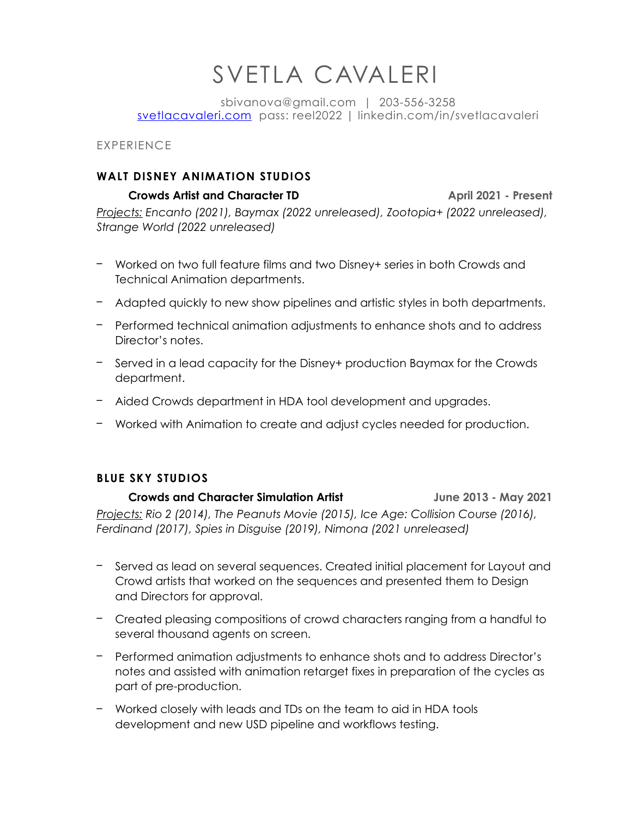# SVETLA CAVALERI

sbivanova@gmail.com | 203-556-3258 [svetlacavaleri.com](http://svetlacavaleri.com) pass: reel2022 | linkedin.com/in/svetlacavaleri

EXPERIENCE

#### **WALT DISNEY ANIMATION STUDIOS**

 **Crowds Artist and Character TD April 2021 - Present** *Projects: Encanto (2021), Baymax (2022 unreleased), Zootopia+ (2022 unreleased), Strange World (2022 unreleased)*

- Worked on two full feature films and two Disney+ series in both Crowds and Technical Animation departments.
- Adapted quickly to new show pipelines and artistic styles in both departments.
- Performed technical animation adjustments to enhance shots and to address Director's notes.
- Served in a lead capacity for the Disney+ production Baymax for the Crowds department.
- Aided Crowds department in HDA tool development and upgrades.
- Worked with Animation to create and adjust cycles needed for production.

## **BLUE SKY STUDIOS**

 **Crowds and Character Simulation Artist June 2013 - May 2021** *Projects: Rio 2 (2014), The Peanuts Movie (2015), Ice Age: Collision Course (2016), Ferdinand (2017), Spies in Disguise (2019), Nimona (2021 unreleased)*

- Served as lead on several sequences. Created initial placement for Layout and Crowd artists that worked on the sequences and presented them to Design and Directors for approval.
- Created pleasing compositions of crowd characters ranging from a handful to several thousand agents on screen.
- Performed animation adjustments to enhance shots and to address Director's notes and assisted with animation retarget fixes in preparation of the cycles as part of pre-production.
- Worked closely with leads and TDs on the team to aid in HDA tools development and new USD pipeline and workflows testing.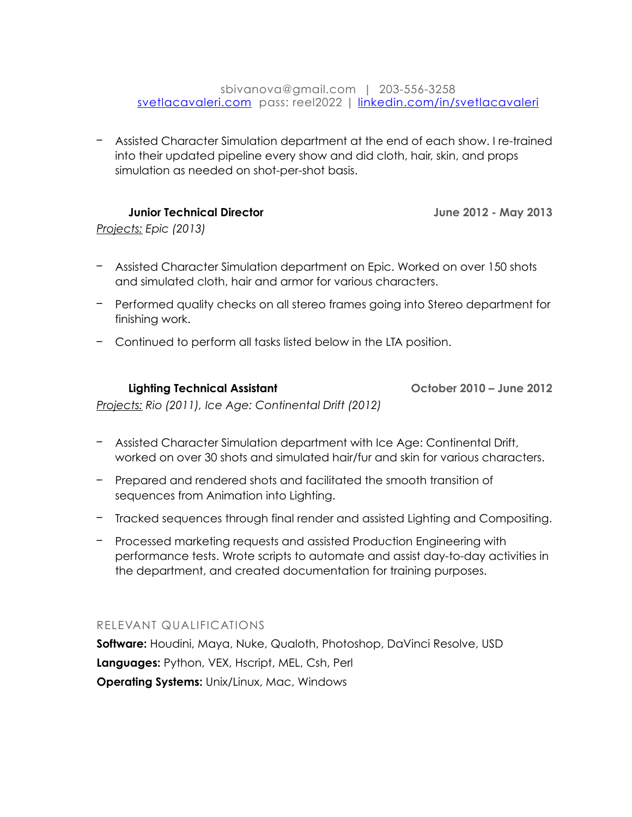#### sbivanova@gmail.com | 203-556-3258 [svetlacavaleri.com](http://svetlacavaleri.com) pass: reel2022 | [linkedin.com/in/svetlacavaleri](http://linkedin.com/in/svetlacavaleri)

– Assisted Character Simulation department at the end of each show. I re-trained into their updated pipeline every show and did cloth, hair, skin, and props simulation as needed on shot-per-shot basis.

 **Junior Technical Director June 2012 - May 2013**

*Projects: Epic (2013)*

- Assisted Character Simulation department on Epic. Worked on over 150 shots and simulated cloth, hair and armor for various characters.
- Performed quality checks on all stereo frames going into Stereo department for finishing work.
- Continued to perform all tasks listed below in the LTA position.

 **Lighting Technical Assistant October 2010 – June 2012**

*Projects: Rio (2011), Ice Age: Continental Drift (2012)*

- Assisted Character Simulation department with Ice Age: Continental Drift, worked on over 30 shots and simulated hair/fur and skin for various characters.
- Prepared and rendered shots and facilitated the smooth transition of sequences from Animation into Lighting.
- Tracked sequences through final render and assisted Lighting and Compositing.
- Processed marketing requests and assisted Production Engineering with performance tests. Wrote scripts to automate and assist day-to-day activities in the department, and created documentation for training purposes.

## RELEVANT QUALIFICATIONS

**Software:** Houdini, Maya, Nuke, Qualoth, Photoshop, DaVinci Resolve, USD **Languages:** Python, VEX, Hscript, MEL, Csh, Perl **Operating Systems:** Unix/Linux, Mac, Windows